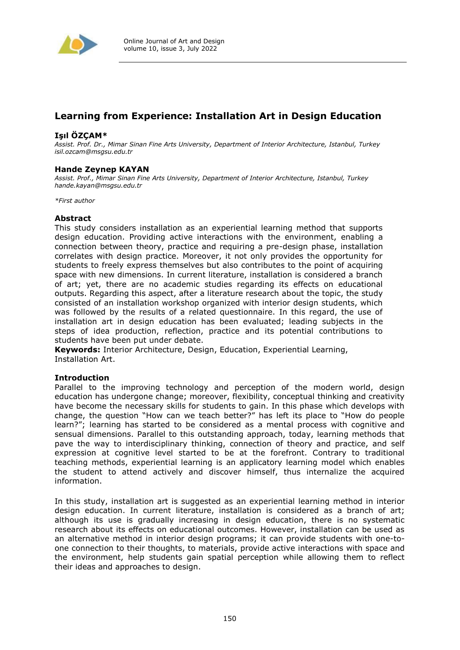

# **Learning from Experience: Installation Art in Design Education**

## **Işıl ÖZÇAM\***

*Assist. Prof. Dr., Mimar Sinan Fine Arts University, Department of Interior Architecture, Istanbul, Turkey isil.ozcam@msgsu.edu.tr*

# **Hande Zeynep KAYAN**

*Assist. Prof., Mimar Sinan Fine Arts University, Department of Interior Architecture, Istanbul, Turkey hande.kayan@msgsu.edu.tr*

*\*First author*

## **Abstract**

This study considers installation as an experiential learning method that supports design education. Providing active interactions with the environment, enabling a connection between theory, practice and requiring a pre-design phase, installation correlates with design practice. Moreover, it not only provides the opportunity for students to freely express themselves but also contributes to the point of acquiring space with new dimensions. In current literature, installation is considered a branch of art; yet, there are no academic studies regarding its effects on educational outputs. Regarding this aspect, after a literature research about the topic, the study consisted of an installation workshop organized with interior design students, which was followed by the results of a related questionnaire. In this regard, the use of installation art in design education has been evaluated; leading subjects in the steps of idea production, reflection, practice and its potential contributions to students have been put under debate.

**Keywords:** Interior Architecture, Design, Education, Experiential Learning, Installation Art.

## **Introduction**

Parallel to the improving technology and perception of the modern world, design education has undergone change; moreover, flexibility, conceptual thinking and creativity have become the necessary skills for students to gain. In this phase which develops with change, the question "How can we teach better?" has left its place to "How do people learn?"; learning has started to be considered as a mental process with cognitive and sensual dimensions. Parallel to this outstanding approach, today, learning methods that pave the way to interdisciplinary thinking, connection of theory and practice, and self expression at cognitive level started to be at the forefront. Contrary to traditional teaching methods, experiential learning is an applicatory learning model which enables the student to attend actively and discover himself, thus internalize the acquired information.

In this study, installation art is suggested as an experiential learning method in interior design education. In current literature, installation is considered as a branch of art; although its use is gradually increasing in design education, there is no systematic research about its effects on educational outcomes. However, installation can be used as an alternative method in interior design programs; it can provide students with one-toone connection to their thoughts, to materials, provide active interactions with space and the environment, help students gain spatial perception while allowing them to reflect their ideas and approaches to design.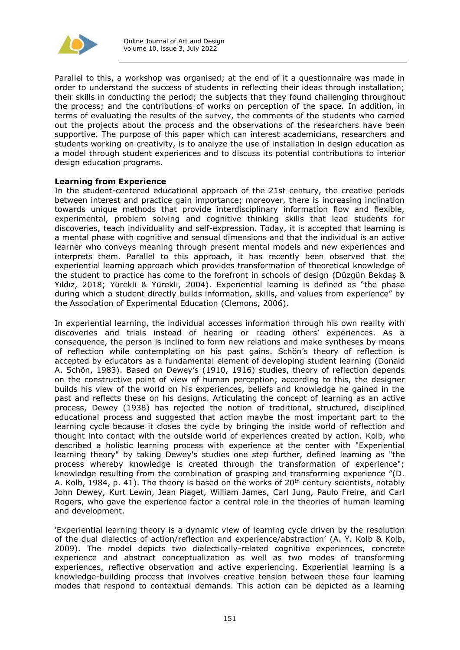

Parallel to this, a workshop was organised; at the end of it a questionnaire was made in order to understand the success of students in reflecting their ideas through installation; their skills in conducting the period; the subjects that they found challenging throughout the process; and the contributions of works on perception of the space. In addition, in terms of evaluating the results of the survey, the comments of the students who carried out the projects about the process and the observations of the researchers have been supportive. The purpose of this paper which can interest academicians, researchers and students working on creativity, is to analyze the use of installation in design education as a model through student experiences and to discuss its potential contributions to interior design education programs.

## **Learning from Experience**

In the student-centered educational approach of the 21st century, the creative periods between interest and practice gain importance; moreover, there is increasing inclination towards unique methods that provide interdisciplinary information flow and flexible, experimental, problem solving and cognitive thinking skills that lead students for discoveries, teach individuality and self-expression. Today, it is accepted that learning is a mental phase with cognitive and sensual dimensions and that the individual is an active learner who conveys meaning through present mental models and new experiences and interprets them. Parallel to this approach, it has recently been observed that the experiential learning approach which provides transformation of theoretical knowledge of the student to practice has come to the forefront in schools of design (Düzgün Bekdaş & Yıldız, 2018; Yürekli & Yürekli, 2004). Experiential learning is defined as "the phase during which a student directly builds information, skills, and values from experience" by the Association of Experimental Education (Clemons, 2006).

In experiential learning, the individual accesses information through his own reality with discoveries and trials instead of hearing or reading others' experiences. As a consequence, the person is inclined to form new relations and make syntheses by means of reflection while contemplating on his past gains. Schön's theory of reflection is accepted by educators as a fundamental element of developing student learning (Donald A. Schön, 1983). Based on Dewey's (1910, 1916) studies, theory of reflection depends on the constructive point of view of human perception; according to this, the designer builds his view of the world on his experiences, beliefs and knowledge he gained in the past and reflects these on his designs. Articulating the concept of learning as an active process, Dewey (1938) has rejected the notion of traditional, structured, disciplined educational process and suggested that action maybe the most important part to the learning cycle because it closes the cycle by bringing the inside world of reflection and thought into contact with the outside world of experiences created by action. Kolb, who described a holistic learning process with experience at the center with "Experiential learning theory" by taking Dewey's studies one step further, defined learning as "the process whereby knowledge is created through the transformation of experience"; knowledge resulting from the combination of grasping and transforming experience "(D. A. Kolb, 1984, p. 41). The theory is based on the works of  $20<sup>th</sup>$  century scientists, notably John Dewey, Kurt Lewin, Jean Piaget, William James, Carl Jung, Paulo Freire, and Carl Rogers, who gave the experience factor a central role in the theories of human learning and development.

'Experiential learning theory is a dynamic view of learning cycle driven by the resolution of the dual dialectics of action/reflection and experience/abstraction' (A. Y. Kolb & Kolb, 2009). The model depicts two dialectically-related cognitive experiences, concrete experience and abstract conceptualization as well as two modes of transforming experiences, reflective observation and active experiencing. Experiential learning is a knowledge-building process that involves creative tension between these four learning modes that respond to contextual demands. This action can be depicted as a learning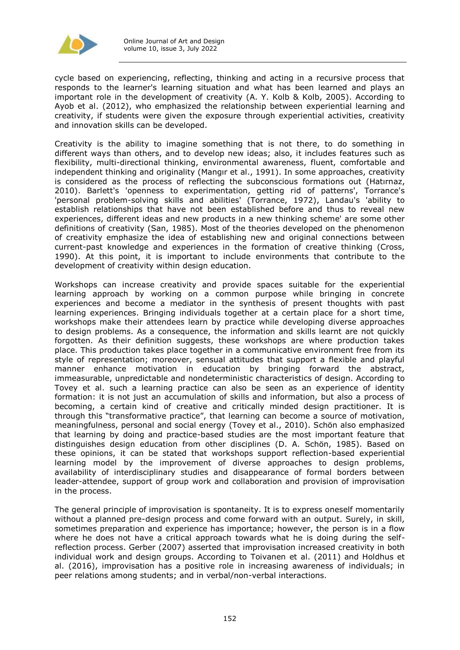

cycle based on experiencing, reflecting, thinking and acting in a recursive process that responds to the learner's learning situation and what has been learned and plays an important role in the development of creativity (A. Y. Kolb & Kolb, 2005). According to Ayob et al. (2012), who emphasized the relationship between experiential learning and creativity, if students were given the exposure through experiential activities, creativity and innovation skills can be developed.

Creativity is the ability to imagine something that is not there, to do something in different ways than others, and to develop new ideas; also, it includes features such as flexibility, multi-directional thinking, environmental awareness, fluent, comfortable and independent thinking and originality (Mangır et al., 1991). In some approaches, creativity is considered as the process of reflecting the subconscious formations out (Hatırnaz, 2010). Barlett's 'openness to experimentation, getting rid of patterns', Torrance's 'personal problem-solving skills and abilities' (Torrance, 1972), Landau's 'ability to establish relationships that have not been established before and thus to reveal new experiences, different ideas and new products in a new thinking scheme' are some other definitions of creativity (San, 1985). Most of the theories developed on the phenomenon of creativity emphasize the idea of establishing new and original connections between current-past knowledge and experiences in the formation of creative thinking (Cross, 1990). At this point, it is important to include environments that contribute to the development of creativity within design education.

Workshops can increase creativity and provide spaces suitable for the experiential learning approach by working on a common purpose while bringing in concrete experiences and become a mediator in the synthesis of present thoughts with past learning experiences. Bringing individuals together at a certain place for a short time, workshops make their attendees learn by practice while developing diverse approaches to design problems. As a consequence, the information and skills learnt are not quickly forgotten. As their definition suggests, these workshops are where production takes place. This production takes place together in a communicative environment free from its style of representation; moreover, sensual attitudes that support a flexible and playful manner enhance motivation in education by bringing forward the abstract, immeasurable, unpredictable and nondeterministic characteristics of design. According to Tovey et al. such a learning practice can also be seen as an experience of identity formation: it is not just an accumulation of skills and information, but also a process of becoming, a certain kind of creative and critically minded design practitioner. It is through this "transformative practice", that learning can become a source of motivation, meaningfulness, personal and social energy (Tovey et al., 2010). Schön also emphasized that learning by doing and practice-based studies are the most important feature that distinguishes design education from other disciplines (D. A. Schön, 1985). Based on these opinions, it can be stated that workshops support reflection-based experiential learning model by the improvement of diverse approaches to design problems, availability of interdisciplinary studies and disappearance of formal borders between leader-attendee, support of group work and collaboration and provision of improvisation in the process.

The general principle of improvisation is spontaneity. It is to express oneself momentarily without a planned pre-design process and come forward with an output. Surely, in skill, sometimes preparation and experience has importance; however, the person is in a flow where he does not have a critical approach towards what he is doing during the selfreflection process. Gerber (2007) asserted that improvisation increased creativity in both individual work and design groups. According to Toivanen et al. (2011) and Holdhus et al. (2016), improvisation has a positive role in increasing awareness of individuals; in peer relations among students; and in verbal/non-verbal interactions.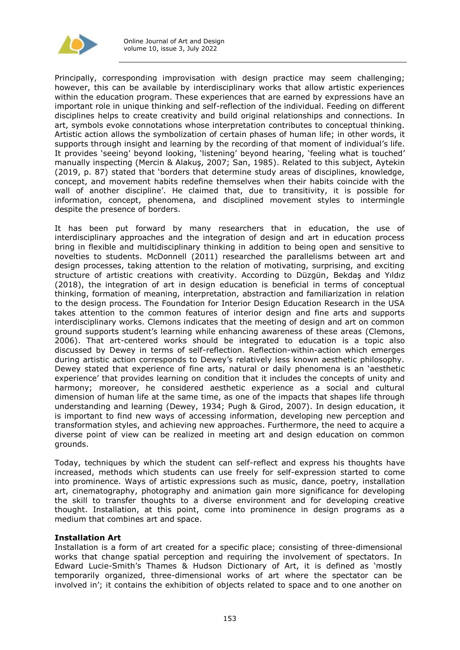

Principally, corresponding improvisation with design practice may seem challenging; however, this can be available by interdisciplinary works that allow artistic experiences within the education program. These experiences that are earned by expressions have an important role in unique thinking and self-reflection of the individual. Feeding on different disciplines helps to create creativity and build original relationships and connections. In art, symbols evoke connotations whose interpretation contributes to conceptual thinking. Artistic action allows the symbolization of certain phases of human life; in other words, it supports through insight and learning by the recording of that moment of individual's life. It provides 'seeing' beyond looking, 'listening' beyond hearing, 'feeling what is touched' manually inspecting (Mercin & Alakuş, 2007; San, 1985). Related to this subject, Aytekin (2019, p. 87) stated that 'borders that determine study areas of disciplines, knowledge, concept, and movement habits redefine themselves when their habits coincide with the wall of another discipline'. He claimed that, due to transitivity, it is possible for information, concept, phenomena, and disciplined movement styles to intermingle despite the presence of borders.

It has been put forward by many researchers that in education, the use of interdisciplinary approaches and the integration of design and art in education process bring in flexible and multidisciplinary thinking in addition to being open and sensitive to novelties to students. McDonnell (2011) researched the parallelisms between art and design processes, taking attention to the relation of motivating, surprising, and exciting structure of artistic creations with creativity. According to Düzgün, Bekdaş and Yıldız (2018), the integration of art in design education is beneficial in terms of conceptual thinking, formation of meaning, interpretation, abstraction and familiarization in relation to the design process. The Foundation for Interior Design Education Research in the USA takes attention to the common features of interior design and fine arts and supports interdisciplinary works. Clemons indicates that the meeting of design and art on common ground supports student's learning while enhancing awareness of these areas (Clemons, 2006). That art-centered works should be integrated to education is a topic also discussed by Dewey in terms of self-reflection. Reflection-within-action which emerges during artistic action corresponds to Dewey's relatively less known aesthetic philosophy. Dewey stated that experience of fine arts, natural or daily phenomena is an 'aesthetic experience' that provides learning on condition that it includes the concepts of unity and harmony; moreover, he considered aesthetic experience as a social and cultural dimension of human life at the same time, as one of the impacts that shapes life through understanding and learning (Dewey, 1934; Pugh & Girod, 2007). In design education, it is important to find new ways of accessing information, developing new perception and transformation styles, and achieving new approaches. Furthermore, the need to acquire a diverse point of view can be realized in meeting art and design education on common grounds.

Today, techniques by which the student can self-reflect and express his thoughts have increased, methods which students can use freely for self-expression started to come into prominence. Ways of artistic expressions such as music, dance, poetry, installation art, cinematography, photography and animation gain more significance for developing the skill to transfer thoughts to a diverse environment and for developing creative thought. Installation, at this point, come into prominence in design programs as a medium that combines art and space.

## **Installation Art**

Installation is a form of art created for a specific place; consisting of three-dimensional works that change spatial perception and requiring the involvement of spectators. In Edward Lucie-Smith's Thames & Hudson Dictionary of Art, it is defined as 'mostly temporarily organized, three-dimensional works of art where the spectator can be involved in'; it contains the exhibition of objects related to space and to one another on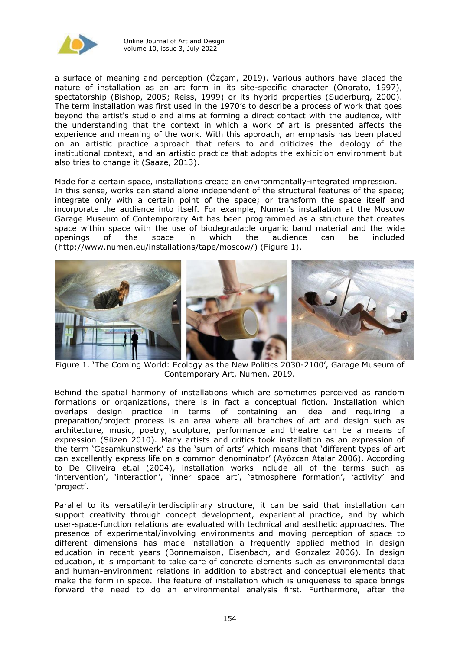

a surface of meaning and perception (Özçam, 2019). Various authors have placed the nature of installation as an art form in its site-specific character (Onorato, 1997), spectatorship (Bishop, 2005; Reiss, 1999) or its hybrid properties (Suderburg, 2000). The term installation was first used in the 1970's to describe a process of work that goes beyond the artist's studio and aims at forming a direct contact with the audience, with the understanding that the context in which a work of art is presented affects the experience and meaning of the work. With this approach, an emphasis has been placed on an artistic practice approach that refers to and criticizes the ideology of the institutional context, and an artistic practice that adopts the exhibition environment but also tries to change it (Saaze, 2013).

Made for a certain space, installations create an environmentally-integrated impression. In this sense, works can stand alone independent of the structural features of the space; integrate only with a certain point of the space; or transform the space itself and incorporate the audience into itself. For example, Numen's installation at the Moscow Garage Museum of Contemporary Art has been programmed as a structure that creates space within space with the use of biodegradable organic band material and the wide openings of the space in which the audience can be included (http://www.numen.eu/installations/tape/moscow/) (Figure 1).



Figure 1. 'The Coming World: Ecology as the New Politics 2030-2100', Garage Museum of Contemporary Art, Numen, 2019.

Behind the spatial harmony of installations which are sometimes perceived as random formations or organizations, there is in fact a conceptual fiction. Installation which overlaps design practice in terms of containing an idea and requiring a preparation/project process is an area where all branches of art and design such as architecture, music, poetry, sculpture, performance and theatre can be a means of expression (Süzen 2010). Many artists and critics took installation as an expression of the term 'Gesamkunstwerk' as the 'sum of arts' which means that 'different types of art can excellently express life on a common denominator' (Ayözcan Atalar 2006). According to De Oliveira et.al (2004), installation works include all of the terms such as 'intervention', 'interaction', 'inner space art', 'atmosphere formation', 'activity' and 'project'.

Parallel to its versatile/interdisciplinary structure, it can be said that installation can support creativity through concept development, experiential practice, and by which user-space-function relations are evaluated with technical and aesthetic approaches. The presence of experimental/involving environments and moving perception of space to different dimensions has made installation a frequently applied method in design education in recent years (Bonnemaison, Eisenbach, and Gonzalez 2006). In design education, it is important to take care of concrete elements such as environmental data and human-environment relations in addition to abstract and conceptual elements that make the form in space. The feature of installation which is uniqueness to space brings forward the need to do an environmental analysis first. Furthermore, after the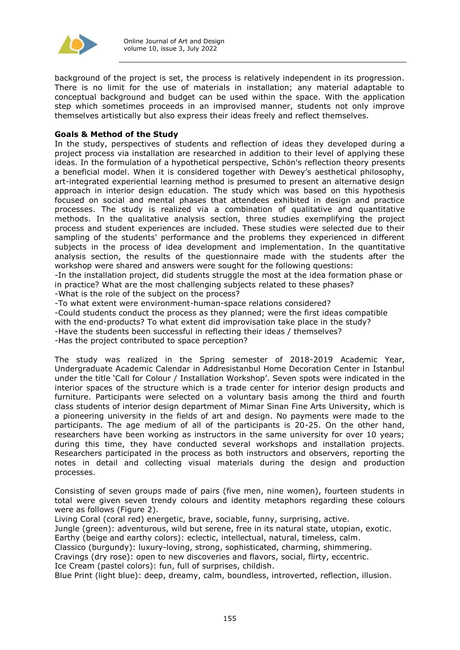

background of the project is set, the process is relatively independent in its progression. There is no limit for the use of materials in installation; any material adaptable to conceptual background and budget can be used within the space. With the application step which sometimes proceeds in an improvised manner, students not only improve themselves artistically but also express their ideas freely and reflect themselves.

## **Goals & Method of the Study**

In the study, perspectives of students and reflection of ideas they developed during a project process via installation are researched in addition to their level of applying these ideas. In the formulation of a hypothetical perspective, Schön's reflection theory presents a beneficial model. When it is considered together with Dewey's aesthetical philosophy, art-integrated experiential learning method is presumed to present an alternative design approach in interior design education. The study which was based on this hypothesis focused on social and mental phases that attendees exhibited in design and practice processes. The study is realized via a combination of qualitative and quantitative methods. In the qualitative analysis section, three studies exemplifying the project process and student experiences are included. These studies were selected due to their sampling of the students' performance and the problems they experienced in different subjects in the process of idea development and implementation. In the quantitative analysis section, the results of the questionnaire made with the students after the workshop were shared and answers were sought for the following questions:

-In the installation project, did students struggle the most at the idea formation phase or in practice? What are the most challenging subjects related to these phases?

-What is the role of the subject on the process?

-To what extent were environment-human-space relations considered? -Could students conduct the process as they planned; were the first ideas compatible with the end-products? To what extent did improvisation take place in the study? -Have the students been successful in reflecting their ideas / themselves? -Has the project contributed to space perception?

The study was realized in the Spring semester of 2018-2019 Academic Year, Undergraduate Academic Calendar in Addresistanbul Home Decoration Center in İstanbul under the title 'Call for Colour / Installation Workshop'. Seven spots were indicated in the interior spaces of the structure which is a trade center for interior design products and furniture. Participants were selected on a voluntary basis among the third and fourth class students of interior design department of Mimar Sinan Fine Arts University, which is a pioneering university in the fields of art and design. No payments were made to the participants. The age medium of all of the participants is 20-25. On the other hand, researchers have been working as instructors in the same university for over 10 years; during this time, they have conducted several workshops and installation projects. Researchers participated in the process as both instructors and observers, reporting the notes in detail and collecting visual materials during the design and production processes.

Consisting of seven groups made of pairs (five men, nine women), fourteen students in total were given seven trendy colours and identity metaphors regarding these colours were as follows (Figure 2).

Living Coral (coral red) energetic, brave, sociable, funny, surprising, active.

Jungle (green): adventurous, wild but serene, free in its natural state, utopian, exotic. Earthy (beige and earthy colors): eclectic, intellectual, natural, timeless, calm.

Classico (burgundy): luxury-loving, strong, sophisticated, charming, shimmering.

Cravings (dry rose): open to new discoveries and flavors, social, flirty, eccentric.

Ice Cream (pastel colors): fun, full of surprises, childish.

Blue Print (light blue): deep, dreamy, calm, boundless, introverted, reflection, illusion.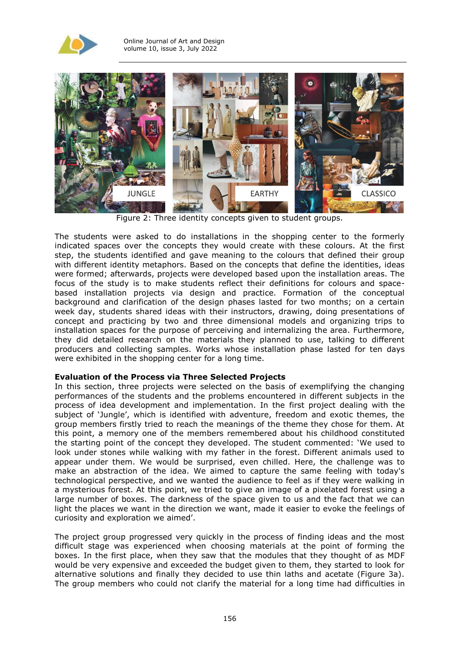



Figure 2: Three identity concepts given to student groups.

The students were asked to do installations in the shopping center to the formerly indicated spaces over the concepts they would create with these colours. At the first step, the students identified and gave meaning to the colours that defined their group with different identity metaphors. Based on the concepts that define the identities, ideas were formed; afterwards, projects were developed based upon the installation areas. The focus of the study is to make students reflect their definitions for colours and spacebased installation projects via design and practice. Formation of the conceptual background and clarification of the design phases lasted for two months; on a certain week day, students shared ideas with their instructors, drawing, doing presentations of concept and practicing by two and three dimensional models and organizing trips to installation spaces for the purpose of perceiving and internalizing the area. Furthermore, they did detailed research on the materials they planned to use, talking to different producers and collecting samples. Works whose installation phase lasted for ten days were exhibited in the shopping center for a long time.

## **Evaluation of the Process via Three Selected Projects**

In this section, three projects were selected on the basis of exemplifying the changing performances of the students and the problems encountered in different subjects in the process of idea development and implementation. In the first project dealing with the subject of 'Jungle', which is identified with adventure, freedom and exotic themes, the group members firstly tried to reach the meanings of the theme they chose for them. At this point, a memory one of the members remembered about his childhood constituted the starting point of the concept they developed. The student commented: 'We used to look under stones while walking with my father in the forest. Different animals used to appear under them. We would be surprised, even chilled. Here, the challenge was to make an abstraction of the idea. We aimed to capture the same feeling with today's technological perspective, and we wanted the audience to feel as if they were walking in a mysterious forest. At this point, we tried to give an image of a pixelated forest using a large number of boxes. The darkness of the space given to us and the fact that we can light the places we want in the direction we want, made it easier to evoke the feelings of curiosity and exploration we aimed'.

The project group progressed very quickly in the process of finding ideas and the most difficult stage was experienced when choosing materials at the point of forming the boxes. In the first place, when they saw that the modules that they thought of as MDF would be very expensive and exceeded the budget given to them, they started to look for alternative solutions and finally they decided to use thin laths and acetate (Figure 3a). The group members who could not clarify the material for a long time had difficulties in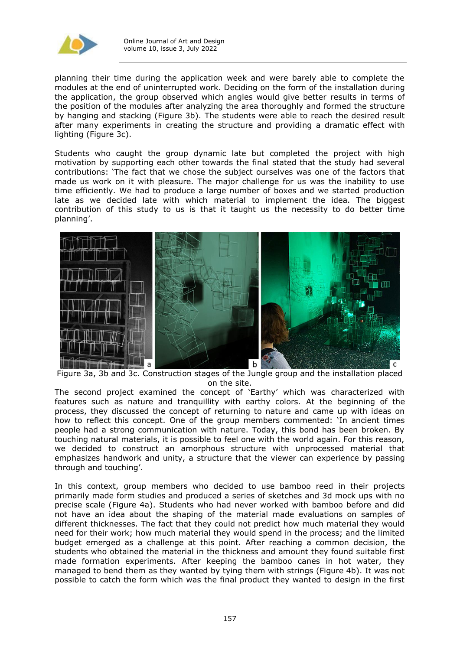

planning their time during the application week and were barely able to complete the modules at the end of uninterrupted work. Deciding on the form of the installation during the application, the group observed which angles would give better results in terms of the position of the modules after analyzing the area thoroughly and formed the structure by hanging and stacking (Figure 3b). The students were able to reach the desired result after many experiments in creating the structure and providing a dramatic effect with lighting (Figure 3c).

Students who caught the group dynamic late but completed the project with high motivation by supporting each other towards the final stated that the study had several contributions: 'The fact that we chose the subject ourselves was one of the factors that made us work on it with pleasure. The major challenge for us was the inability to use time efficiently. We had to produce a large number of boxes and we started production late as we decided late with which material to implement the idea. The biggest contribution of this study to us is that it taught us the necessity to do better time planning'.



Figure 3a, 3b and 3c. Construction stages of the Jungle group and the installation placed on the site.

The second project examined the concept of 'Earthy' which was characterized with features such as nature and tranquillity with earthy colors. At the beginning of the process, they discussed the concept of returning to nature and came up with ideas on how to reflect this concept. One of the group members commented: 'In ancient times people had a strong communication with nature. Today, this bond has been broken. By touching natural materials, it is possible to feel one with the world again. For this reason, we decided to construct an amorphous structure with unprocessed material that emphasizes handwork and unity, a structure that the viewer can experience by passing through and touching'.

In this context, group members who decided to use bamboo reed in their projects primarily made form studies and produced a series of sketches and 3d mock ups with no precise scale (Figure 4a). Students who had never worked with bamboo before and did not have an idea about the shaping of the material made evaluations on samples of different thicknesses. The fact that they could not predict how much material they would need for their work; how much material they would spend in the process; and the limited budget emerged as a challenge at this point. After reaching a common decision, the students who obtained the material in the thickness and amount they found suitable first made formation experiments. After keeping the bamboo canes in hot water, they managed to bend them as they wanted by tying them with strings (Figure 4b). It was not possible to catch the form which was the final product they wanted to design in the first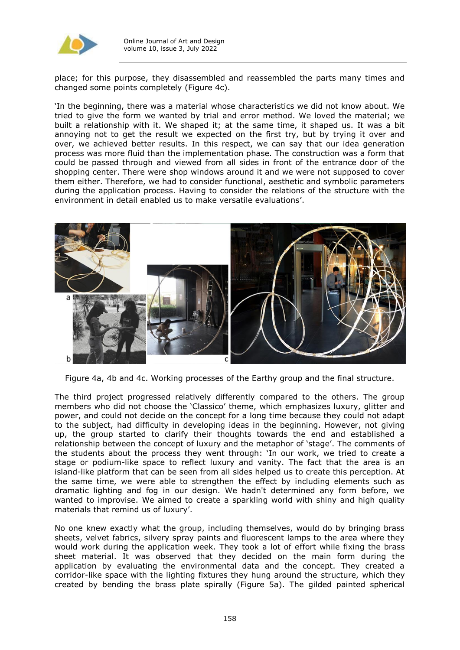

place; for this purpose, they disassembled and reassembled the parts many times and changed some points completely (Figure 4c).

'In the beginning, there was a material whose characteristics we did not know about. We tried to give the form we wanted by trial and error method. We loved the material; we built a relationship with it. We shaped it; at the same time, it shaped us. It was a bit annoying not to get the result we expected on the first try, but by trying it over and over, we achieved better results. In this respect, we can say that our idea generation process was more fluid than the implementation phase. The construction was a form that could be passed through and viewed from all sides in front of the entrance door of the shopping center. There were shop windows around it and we were not supposed to cover them either. Therefore, we had to consider functional, aesthetic and symbolic parameters during the application process. Having to consider the relations of the structure with the environment in detail enabled us to make versatile evaluations'.



Figure 4a, 4b and 4c. Working processes of the Earthy group and the final structure.

The third project progressed relatively differently compared to the others. The group members who did not choose the 'Classico' theme, which emphasizes luxury, glitter and power, and could not decide on the concept for a long time because they could not adapt to the subject, had difficulty in developing ideas in the beginning. However, not giving up, the group started to clarify their thoughts towards the end and established a relationship between the concept of luxury and the metaphor of 'stage'. The comments of the students about the process they went through: 'In our work, we tried to create a stage or podium-like space to reflect luxury and vanity. The fact that the area is an island-like platform that can be seen from all sides helped us to create this perception. At the same time, we were able to strengthen the effect by including elements such as dramatic lighting and fog in our design. We hadn't determined any form before, we wanted to improvise. We aimed to create a sparkling world with shiny and high quality materials that remind us of luxury'.

No one knew exactly what the group, including themselves, would do by bringing brass sheets, velvet fabrics, silvery spray paints and fluorescent lamps to the area where they would work during the application week. They took a lot of effort while fixing the brass sheet material. It was observed that they decided on the main form during the application by evaluating the environmental data and the concept. They created a corridor-like space with the lighting fixtures they hung around the structure, which they created by bending the brass plate spirally (Figure 5a). The gilded painted spherical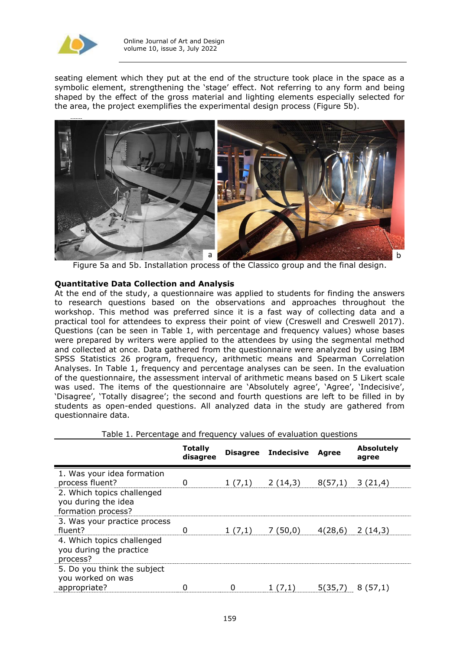

seating element which they put at the end of the structure took place in the space as a symbolic element, strengthening the 'stage' effect. Not referring to any form and being shaped by the effect of the gross material and lighting elements especially selected for the area, the project exemplifies the experimental design process (Figure 5b).



Figure 5a and 5b. Installation process of the Classico group and the final design.

## **Quantitative Data Collection and Analysis**

At the end of the study, a questionnaire was applied to students for finding the answers to research questions based on the observations and approaches throughout the workshop. This method was preferred since it is a fast way of collecting data and a practical tool for attendees to express their point of view (Creswell and Creswell 2017). Questions (can be seen in Table 1, with percentage and frequency values) whose bases were prepared by writers were applied to the attendees by using the segmental method and collected at once. Data gathered from the questionnaire were analyzed by using IBM SPSS Statistics 26 program, frequency, arithmetic means and Spearman Correlation Analyses. In Table 1, frequency and percentage analyses can be seen. In the evaluation of the questionnaire, the assessment interval of arithmetic means based on 5 Likert scale was used. The items of the questionnaire are 'Absolutely agree', 'Agree', 'Indecisive', 'Disagree', 'Totally disagree'; the second and fourth questions are left to be filled in by students as open-ended questions. All analyzed data in the study are gathered from questionnaire data.

| rapic In rerectitude and irequency values or evaluation questions                                                        |                            |        |                     |              |                            |
|--------------------------------------------------------------------------------------------------------------------------|----------------------------|--------|---------------------|--------------|----------------------------|
|                                                                                                                          | <b>Totally</b><br>disagree |        | Disagree Indecisive | <b>Agree</b> | <b>Absolutely</b><br>agree |
| 1. Was your idea formation<br>process fluent?<br>2. Which topics challenged<br>you during the idea<br>formation process? |                            | 1(7,1) | 2(14,3)             | 8(57,1)      | 3(21,4)                    |
| 3. Was your practice process<br>fluent?<br>4. Which topics challenged<br>you during the practice<br>process?             |                            | 1(7,1) | 7(50,0)             | 4(28,6)      | 2(14,3)                    |
| 5. Do you think the subject<br>you worked on was<br>appropriate?                                                         |                            | ი      | 1(7,1)              | 5(35,7)      | 8(57,1)                    |

Table 1. Percentage and frequency values of evaluation questions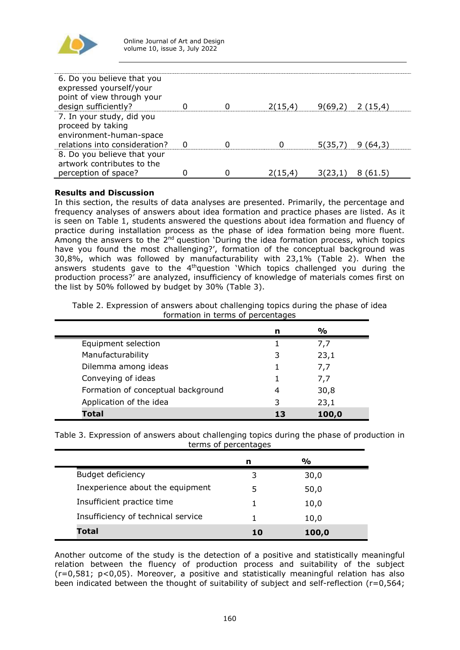

| 6. Do you believe that you<br>expressed yourself/your<br>point of view through your<br>design sufficiently? |  | 2(15,4) |         | $9(69,2)$ 2 (15,4) |
|-------------------------------------------------------------------------------------------------------------|--|---------|---------|--------------------|
|                                                                                                             |  |         |         |                    |
| 7. In your study, did you<br>proceed by taking<br>environment-human-space<br>relations into consideration?  |  |         | 5(35,7) | 9 (64,3)           |
| 8. Do you believe that your<br>artwork contributes to the                                                   |  |         |         |                    |
| perception of space?                                                                                        |  | 2(15,4) | 3(23,1  | 61.5               |

# **Results and Discussion**

In this section, the results of data analyses are presented. Primarily, the percentage and frequency analyses of answers about idea formation and practice phases are listed. As it is seen on Table 1, students answered the questions about idea formation and fluency of practice during installation process as the phase of idea formation being more fluent. Among the answers to the 2<sup>nd</sup> question 'During the idea formation process, which topics have you found the most challenging?', formation of the conceptual background was 30,8%, which was followed by manufacturability with 23,1% (Table 2). When the answers students gave to the 4<sup>th</sup>question 'Which topics challenged you during the production process?' are analyzed, insufficiency of knowledge of materials comes first on the list by 50% followed by budget by 30% (Table 3).

Table 2. Expression of answers about challenging topics during the phase of idea formation in terms of percentages

|                                    | n | $\frac{1}{2}$ |
|------------------------------------|---|---------------|
| Equipment selection                |   | 7.7           |
| Manufacturability                  | 3 | 23,1          |
| Dilemma among ideas                |   | 7,7           |
| Conveying of ideas                 |   | 7.7           |
| Formation of conceptual background | 4 | 30,8          |
| Application of the idea            | 3 | 23,1          |
| <b>Total</b>                       |   | 100,0         |

Table 3. Expression of answers about challenging topics during the phase of production in terms of percentages

|                                    | n  | $\frac{0}{0}$ |  |
|------------------------------------|----|---------------|--|
| Budget deficiency                  |    | 30,0          |  |
| Inexperience about the equipment   | .5 | 50,0          |  |
| Insufficient practice time         |    | 10,0          |  |
| Insufficiency of technical service |    | 10,0          |  |
| Total                              | 10 | 100,0         |  |

Another outcome of the study is the detection of a positive and statistically meaningful relation between the fluency of production process and suitability of the subject (r=0,581; p<0,05). Moreover, a positive and statistically meaningful relation has also been indicated between the thought of suitability of subject and self-reflection (r=0,564;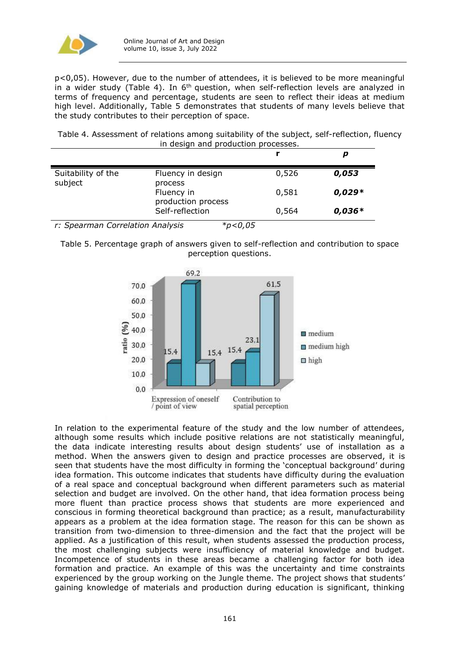

p<0,05). However, due to the number of attendees, it is believed to be more meaningful in a wider study (Table 4). In  $6<sup>th</sup>$  question, when self-reflection levels are analyzed in terms of frequency and percentage, students are seen to reflect their ideas at medium high level. Additionally, Table 5 demonstrates that students of many levels believe that the study contributes to their perception of space.

Table 4. Assessment of relations among suitability of the subject, self-reflection, fluency in design and production processes.

|                               |                                        |       | p        |
|-------------------------------|----------------------------------------|-------|----------|
| Suitability of the<br>subject | Fluency in design<br>process           | 0,526 | 0,053    |
|                               | Fluency in<br>production process       | 0,581 | $0,029*$ |
| .<br>$\sim$<br>-              | Self-reflection<br>.<br>$-1$ .<br>---- | 0,564 | $0,036*$ |

*r: Spearman Correlation Analysis \*p<0,05*

Table 5. Percentage graph of answers given to self-reflection and contribution to space perception questions.



In relation to the experimental feature of the study and the low number of attendees, although some results which include positive relations are not statistically meaningful, the data indicate interesting results about design students' use of installation as a method. When the answers given to design and practice processes are observed, it is seen that students have the most difficulty in forming the 'conceptual background' during idea formation. This outcome indicates that students have difficulty during the evaluation of a real space and conceptual background when different parameters such as material selection and budget are involved. On the other hand, that idea formation process being more fluent than practice process shows that students are more experienced and conscious in forming theoretical background than practice; as a result, manufacturability appears as a problem at the idea formation stage. The reason for this can be shown as transition from two-dimension to three-dimension and the fact that the project will be applied. As a justification of this result, when students assessed the production process, the most challenging subjects were insufficiency of material knowledge and budget. Incompetence of students in these areas became a challenging factor for both idea formation and practice. An example of this was the uncertainty and time constraints experienced by the group working on the Jungle theme. The project shows that students' gaining knowledge of materials and production during education is significant, thinking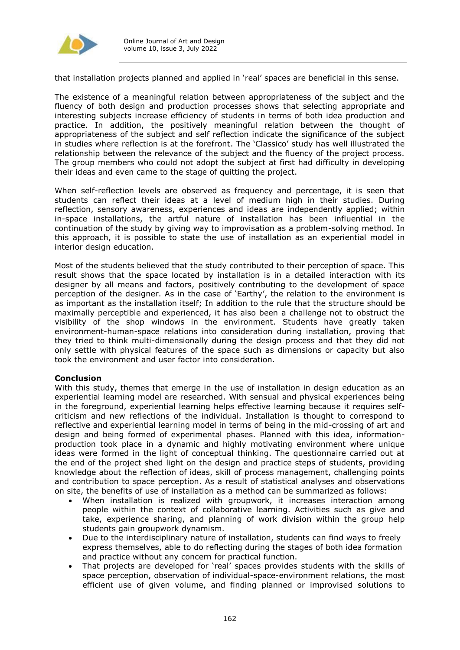

that installation projects planned and applied in 'real' spaces are beneficial in this sense.

The existence of a meaningful relation between appropriateness of the subject and the fluency of both design and production processes shows that selecting appropriate and interesting subjects increase efficiency of students in terms of both idea production and practice. In addition, the positively meaningful relation between the thought of appropriateness of the subject and self reflection indicate the significance of the subject in studies where reflection is at the forefront. The 'Classico' study has well illustrated the relationship between the relevance of the subject and the fluency of the project process. The group members who could not adopt the subject at first had difficulty in developing their ideas and even came to the stage of quitting the project.

When self-reflection levels are observed as frequency and percentage, it is seen that students can reflect their ideas at a level of medium high in their studies. During reflection, sensory awareness, experiences and ideas are independently applied; within in-space installations, the artful nature of installation has been influential in the continuation of the study by giving way to improvisation as a problem-solving method. In this approach, it is possible to state the use of installation as an experiential model in interior design education.

Most of the students believed that the study contributed to their perception of space. This result shows that the space located by installation is in a detailed interaction with its designer by all means and factors, positively contributing to the development of space perception of the designer. As in the case of 'Earthy', the relation to the environment is as important as the installation itself; In addition to the rule that the structure should be maximally perceptible and experienced, it has also been a challenge not to obstruct the visibility of the shop windows in the environment. Students have greatly taken environment-human-space relations into consideration during installation, proving that they tried to think multi-dimensionally during the design process and that they did not only settle with physical features of the space such as dimensions or capacity but also took the environment and user factor into consideration.

## **Conclusion**

With this study, themes that emerge in the use of installation in design education as an experiential learning model are researched. With sensual and physical experiences being in the foreground, experiential learning helps effective learning because it requires selfcriticism and new reflections of the individual. Installation is thought to correspond to reflective and experiential learning model in terms of being in the mid-crossing of art and design and being formed of experimental phases. Planned with this idea, informationproduction took place in a dynamic and highly motivating environment where unique ideas were formed in the light of conceptual thinking. The questionnaire carried out at the end of the project shed light on the design and practice steps of students, providing knowledge about the reflection of ideas, skill of process management, challenging points and contribution to space perception. As a result of statistical analyses and observations on site, the benefits of use of installation as a method can be summarized as follows:

- When installation is realized with groupwork, it increases interaction among people within the context of collaborative learning. Activities such as give and take, experience sharing, and planning of work division within the group help students gain groupwork dynamism.
- Due to the interdisciplinary nature of installation, students can find ways to freely express themselves, able to do reflecting during the stages of both idea formation and practice without any concern for practical function.
- That projects are developed for 'real' spaces provides students with the skills of space perception, observation of individual-space-environment relations, the most efficient use of given volume, and finding planned or improvised solutions to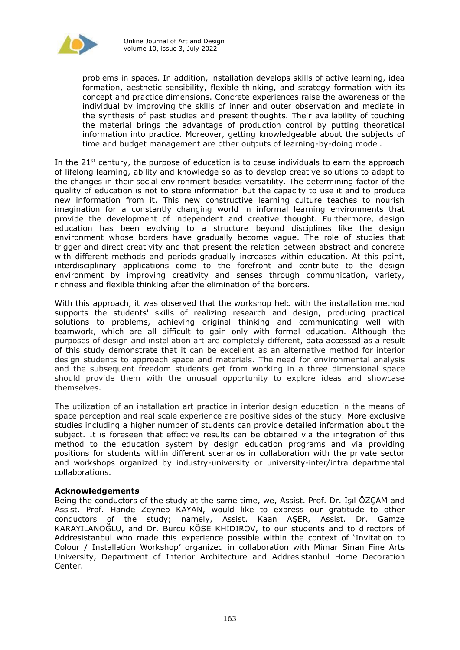

problems in spaces. In addition, installation develops skills of active learning, idea formation, aesthetic sensibility, flexible thinking, and strategy formation with its concept and practice dimensions. Concrete experiences raise the awareness of the individual by improving the skills of inner and outer observation and mediate in the synthesis of past studies and present thoughts. Their availability of touching the material brings the advantage of production control by putting theoretical information into practice. Moreover, getting knowledgeable about the subjects of time and budget management are other outputs of learning-by-doing model.

In the  $21^{st}$  century, the purpose of education is to cause individuals to earn the approach of lifelong learning, ability and knowledge so as to develop creative solutions to adapt to the changes in their social environment besides versatility. The determining factor of the quality of education is not to store information but the capacity to use it and to produce new information from it. This new constructive learning culture teaches to nourish imagination for a constantly changing world in informal learning environments that provide the development of independent and creative thought. Furthermore, design education has been evolving to a structure beyond disciplines like the design environment whose borders have gradually become vague. The role of studies that trigger and direct creativity and that present the relation between abstract and concrete with different methods and periods gradually increases within education. At this point, interdisciplinary applications come to the forefront and contribute to the design environment by improving creativity and senses through communication, variety, richness and flexible thinking after the elimination of the borders.

With this approach, it was observed that the workshop held with the installation method supports the students' skills of realizing research and design, producing practical solutions to problems, achieving original thinking and communicating well with teamwork, which are all difficult to gain only with formal education. Although the purposes of design and installation art are completely different, data accessed as a result of this study demonstrate that it can be excellent as an alternative method for interior design students to approach space and materials. The need for environmental analysis and the subsequent freedom students get from working in a three dimensional space should provide them with the unusual opportunity to explore ideas and showcase themselves.

The utilization of an installation art practice in interior design education in the means of space perception and real scale experience are positive sides of the study. More exclusive studies including a higher number of students can provide detailed information about the subject. It is foreseen that effective results can be obtained via the integration of this method to the education system by design education programs and via providing positions for students within different scenarios in collaboration with the private sector and workshops organized by industry-university or university-inter/intra departmental collaborations.

## **Acknowledgements**

Being the conductors of the study at the same time, we, Assist. Prof. Dr. Işıl ÖZÇAM and Assist. Prof. Hande Zeynep KAYAN, would like to express our gratitude to other conductors of the study; namely, Assist. Kaan AŞER, Assist. Dr. Gamze KARAYILANOĞLU, and Dr. Burcu KÖSE KHIDIROV, to our students and to directors of Addresistanbul who made this experience possible within the context of 'Invitation to Colour / Installation Workshop' organized in collaboration with Mimar Sinan Fine Arts University, Department of Interior Architecture and Addresistanbul Home Decoration Center.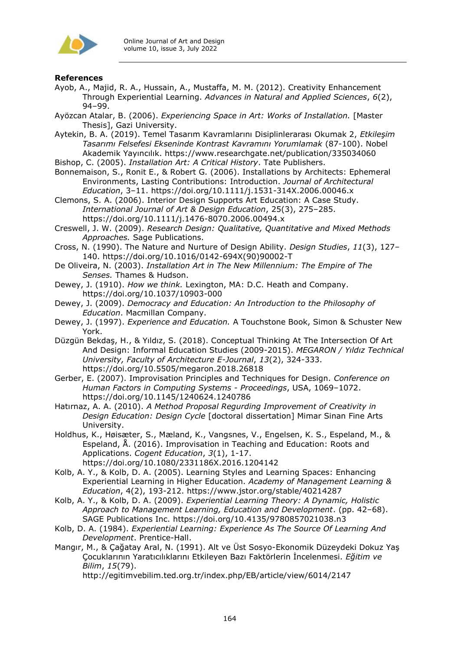

# **References**

- Ayob, A., Majid, R. A., Hussain, A., Mustaffa, M. M. (2012). Creativity Enhancement Through Experiential Learning. *Advances in Natural and Applied Sciences*, *6*(2), 94–99.
- Ayözcan Atalar, B. (2006). *Experiencing Space in Art: Works of Installation.* [Master Thesis], Gazi University.
- Aytekin, B. A. (2019). Temel Tasarım Kavramlarını Disiplinlerarası Okumak 2, *Etkileşim Tasarımı Felsefesi Ekseninde Kontrast Kavramını Yorumlamak* (87-100). Nobel Akademik Yayıncılık. https://www.researchgate.net/publication/335034060
- Bishop, C. (2005). *Installation Art: A Critical History*. Tate Publishers.
- Bonnemaison, S., Ronit E., & Robert G. (2006). Installations by Architects: Ephemeral Environments, Lasting Contributions: Introduction. *Journal of Architectural Education*, 3–11. https://doi.org/10.1111/j.1531-314X.2006.00046.x

Clemons, S. A. (2006). Interior Design Supports Art Education: A Case Study. *International Journal of Art & Design Education*, 25(3), 275–285. https://doi.org/10.1111/j.1476-8070.2006.00494.x

Creswell, J. W. (2009). *Research Design: Qualitative, Quantitative and Mixed Methods Approaches.* Sage Publications.

- Cross, N. (1990). The Nature and Nurture of Design Ability. *Design Studies*, *11*(3), 127– 140. https://doi.org/10.1016/0142-694X(90)90002-T
- De Oliveira, N. (2003). *Installation Art in The New Millennium: The Empire of The Senses.* Thames & Hudson.

Dewey, J. (1910). *How we think.* Lexington, MA: D.C. Heath and Company. https://doi.org/10.1037/10903-000

Dewey, J. (2009). *Democracy and Education: An Introduction to the Philosophy of Education*. Macmillan Company.

Dewey, J. (1997). *Experience and Education.* A Touchstone Book, Simon & Schuster New York.

Düzgün Bekdaş, H., & Yıldız, S. (2018). Conceptual Thinking At The Intersection Of Art And Design: Informal Education Studies (2009-2015). *MEGARON / Yıldız Technical University, Faculty of Architecture E-Journal*, *13*(2), 324-333. https://doi.org/10.5505/megaron.2018.26818

Gerber, E. (2007). Improvisation Principles and Techniques for Design. *Conference on Human Factors in Computing Systems - Proceedings*, USA, 1069–1072. https://doi.org/10.1145/1240624.1240786

Hatırnaz, A. A. (2010). *A Method Proposal Regurding Improvement of Creativity in Design Education: Design Cycle* [doctoral dissertation] Mimar Sinan Fine Arts University.

Holdhus, K., Høisæter, S., Mæland, K., Vangsnes, V., Engelsen, K. S., Espeland, M., & Espeland, Å. (2016). Improvisation in Teaching and Education: Roots and Applications. *Cogent Education*, *3*(1), 1-17. https://doi.org/10.1080/2331186X.2016.1204142

Kolb, A. Y., & Kolb, D. A. (2005). Learning Styles and Learning Spaces: Enhancing Experiential Learning in Higher Education. *Academy of Management Learning & Education*, 4(2), 193-212. https://www.jstor.org/stable/40214287

Kolb, A. Y., & Kolb, D. A. (2009). *Experiential Learning Theory: A Dynamic, Holistic Approach to Management Learning, Education and Development*. (pp. 42–68). SAGE Publications Inc. https://doi.org/10.4135/9780857021038.n3

Kolb, D. A. (1984). *Experiential Learning: Experience As The Source Of Learning And Development*. Prentice-Hall.

Mangır, M., & Çağatay Aral, N. (1991). Alt ve Üst Sosyo-Ekonomik Düzeydeki Dokuz Yaş Çocuklarının Yaratıcılıklarını Etkileyen Bazı Faktörlerin İncelenmesi. *Eğitim ve Bilim*, *15*(79).

http://egitimvebilim.ted.org.tr/index.php/EB/article/view/6014/2147